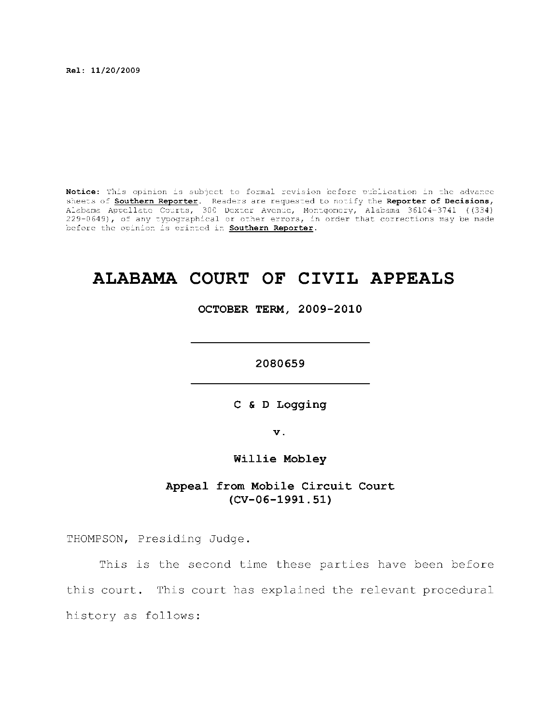**Rel : 11/20/2009** 

Notice: This opinion is subject to formal revision before publication in the advance sheets of **Southern Reporter**. Readers are requested to notify the Reporter of Decisions, Alabama Appellat e Courts , 300 Dexte r Avenue, Montgomery, Alabama 36104-3741 ((334) 229-0649), of any typographical or other errors, in order that corrections may be made before the opinion is printed in **Southern Reporter**.

# **ALABAMA COURT OF CIVIL APPEALS**

**OCTOBER TERM, 2009-2010** 

**2080659** 

**C & D Logging** 

**v.** 

**Willi e Mobley** 

Appeal from Mobile Circuit Court **(CV-06-1991.51)** 

THOMPSON, Presiding Judge.

This is the second time these parties have been before this court. This court has explained the relevant procedural history as follows: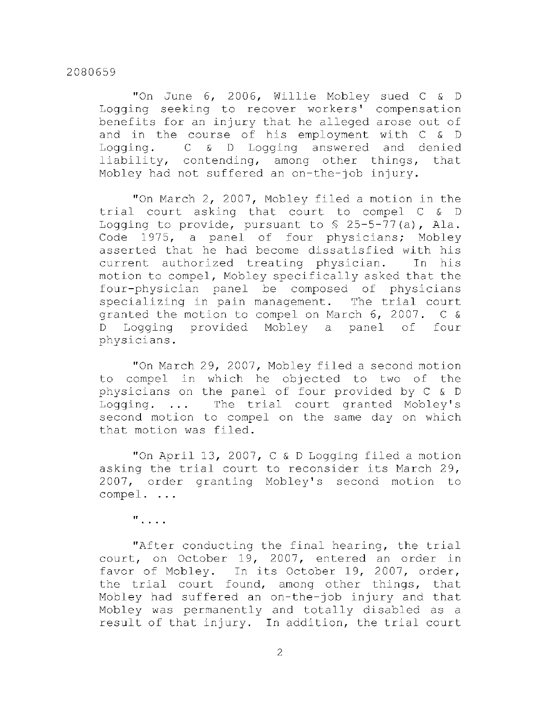"On June 6, 2006, Willie Mobley sued C & D Logging seeking to recover workers' compensation benefits for an injury that he alleged arose out of and in the course of his employment with C & D Logging.  $C \& D$  Logging answered and denied liability, contending, among other things, that Mobley had not suffered an on-the-job injury.

"On March 2, 2007, Mobley filed a motion in the trial court asking that court to compel C & D Logging to provide, pursuant to  $\frac{1}{2}$  25-5-77(a), Ala. Code 1975, a panel of four physicians; Mobley asserted that he had become dissatisfied with his current authorized treating physician. In his motion to compel, Mobley specifically asked that the four-physician panel be composed of physicians specializing in pain management. The trial court granted the motion to compel on March  $6, 2007.$  C & D Logging provided Mobley a panel of four physicians .

"On March 29, 2007, Mobley filed a second motion to compel in which he objected to two of the physicians on the panel of four provided by C & D Logging.  $\ldots$  The trial court granted Mobley's second motion to compel on the same day on which that motion was filed.

"On April 13, 2007, C  $\&$  D Logging filed a motion asking the trial court to reconsider its March 29, 2007, order granting Mobley's second motion to compel. ...

**II** 

"After conducting the final hearing, the trial court, on October 19, 2007, entered an order in favor of Mobley. In its October 19, 2007, order, the trial court found, among other things, that Mobley had suffered an on-the-job injury and that Mobley was permanently and totally disabled as a result of that injury. In addition, the trial court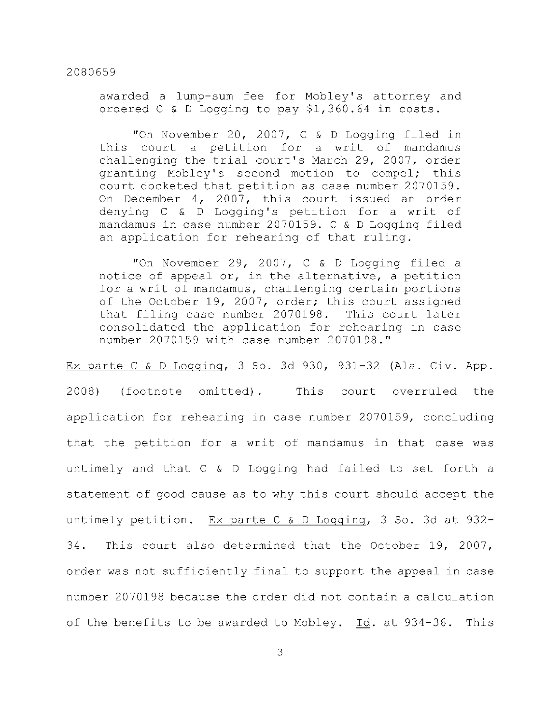awarded a lump-sum fee for Mobley's attorney and ordered C & D Logging to pay \$1,360.64 in costs.

"On November 20, 2007,  $C \& D$  Logging filed in this court a petition for a writ of mandamus challenging the trial court's March 29, 2007, order granting Mobley's second motion to compel; this court docketed that petition as case number 2070159. On December 4, 2007, this court issued an order denying  $C \& D$  Logging's petition for a writ of mandamus in case number 2070159. C & D Logging filed an application for rehearing of that ruling.

"On November 29, 2007,  $C \& D$  Logging filed a notice of appeal or, in the alternative, a petition for a writ of mandamus, challenging certain portions of the October 19, 2007, order; this court assigned that filing case number 2070198. This court later consolidated the application for rehearing in case number 2070159 with case number 2070198."

Ex parte C & D Logging, 3 So. 3d 930, 931-32 (Ala. Civ. App. 2008) (footnote omitted). This court overruled the application for rehearing in case number 2070159, concluding that the petition for a writ of mandamus in that case was untimely and that  $C \& D$  Logging had failed to set forth a statement of good cause as to why this court should accept the untimely petition. Ex parte C & D Logging, 3 So. 3d at  $932-$ 34. This court also determined that the October 19, 2007, order was not sufficiently final to support the appeal in case number 2070198 because the order did not contain a calculation of the benefits to be awarded to Mobley. Id. at 934-36. This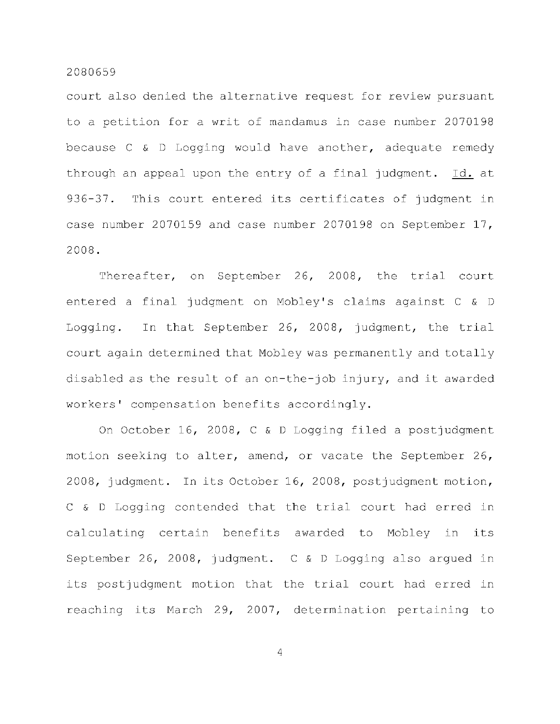court also denied the alternative request for review pursuant to a petition for a writ of mandamus in case number 2070198 because  $C \& D$  Logging would have another, adequate remedy through an appeal upon the entry of a final judgment. Id. at 936-37. This court entered its certificates of judgment in case number 2070159 and case number 2070198 on September 17, 2008.

Thereafter, on September 26, 2008, the trial court entered a final judgment on Mobley's claims against C & D Logging. In that September 26, 2008, judgment, the trial court again determined that Mobley was permanently and totally disabled as the result of an on-the-job injury, and it awarded workers' compensation benefits accordingly.

On October 16, 2008, C & D Logging filed a postjudgment motion seeking to alter, amend, or vacate the September 26, 2008, judgment. In its October 16, 2008, postjudgment motion, C & D Logging contended that the trial court had erred in calculating certain benefits awarded to Mobley in its September 26, 2008, judgment.  $C & D$  Logging also argued in its postjudgment motion that the trial court had erred in reaching its March 29, 2007, determination pertaining to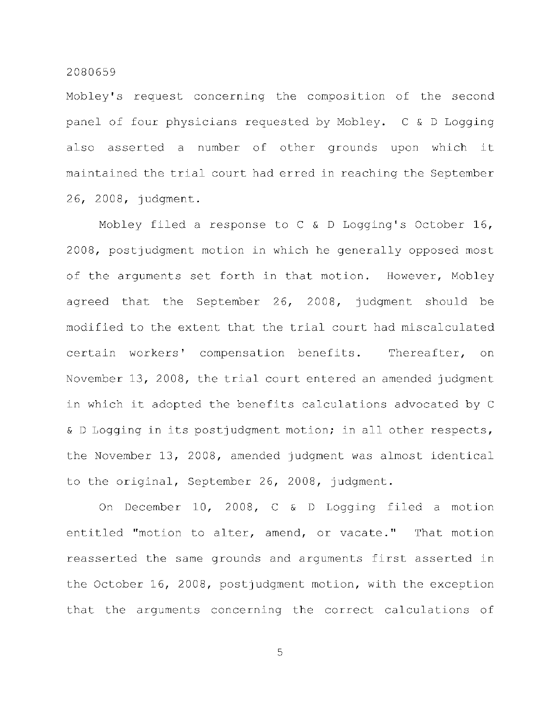Mobley's request concerning the composition of the second panel of four physicians requested by Mobley.  $C \& D$  Logging also asserted a number of other grounds upon which it maintained the trial court had erred in reaching the September 2 6, 2 008, judgment.

Mobley filed a response to C & D Logging's October 16, 2008, postjudgment motion in which he generally opposed most of the arguments set forth in that motion. However, Mobley agreed that the September 26, 2008, judgment should be modified to the extent that the trial court had miscalculated certain workers' compensation benefits. Thereafter, on November 13, 2008, the trial court entered an amended judgment in which it adopted the benefits calculations advocated by C & D Logging in its postjudgment motion; in all other respects, the November 13, 2008, amended judgment was almost identical to the original, September 26, 2008, judgment.

On December  $10$ , 2008, C & D Logging filed a motion entitled "motion to alter, amend, or vacate." That motion reasserted the same grounds and arguments first asserted in the October 16, 2008, postjudgment motion, with the exception that the arguments concerning the correct calculations of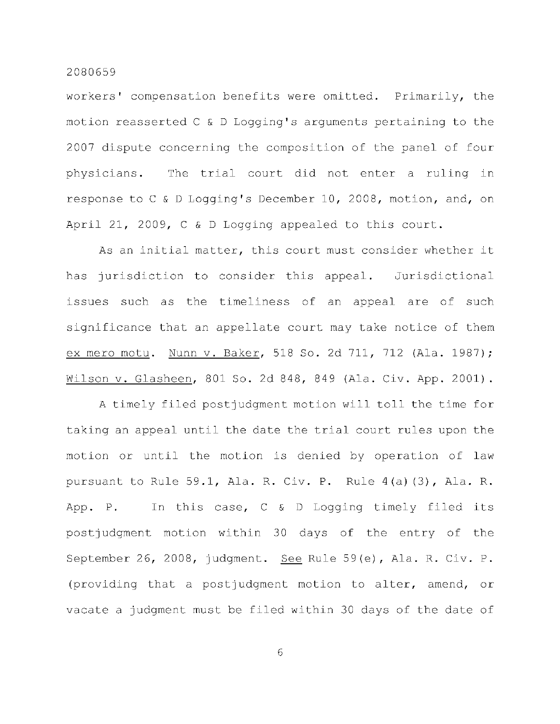workers' compensation benefits were omitted. Primarily, the motion reasserted  $C \& D$  Logging's arguments pertaining to the 2007 dispute concerning the composition of the panel of four physicians. The trial court did not enter a ruling in response to C & D Logging's December 10, 2008, motion, and, on April 21, 2009, C & D Logging appealed to this court.

As an initial matter, this court must consider whether it has jurisdiction to consider this appeal. Jurisdictional issues such as the timeliness of an appeal are of such significance that an appellate court may take notice of them ex mero motu. Nunn v. Baker, 518 So. 2d 711, 712 (Ala. 1987); Wilson v. Glasheen, 801 So. 2d 848, 849 (Ala. Civ. App. 2001).

A timely filed postjudgment motion will toll the time for taking an appeal until the date the trial court rules upon the motion or until the motion is denied by operation of law pursuant to Rule 59.1, Ala. R. Civ. P. Rule  $4(a)(3)$ , Ala. R. App. P. In this case,  $C \& D$  Logging timely filed its postjudgment motion within 30 days of the entry of the September 26, 2008, judgment. See Rule 59(e), Ala. R. Civ. P. (providing that a postjudgment motion to alter, amend, or vacate a judgment must be filed within 30 days of the date of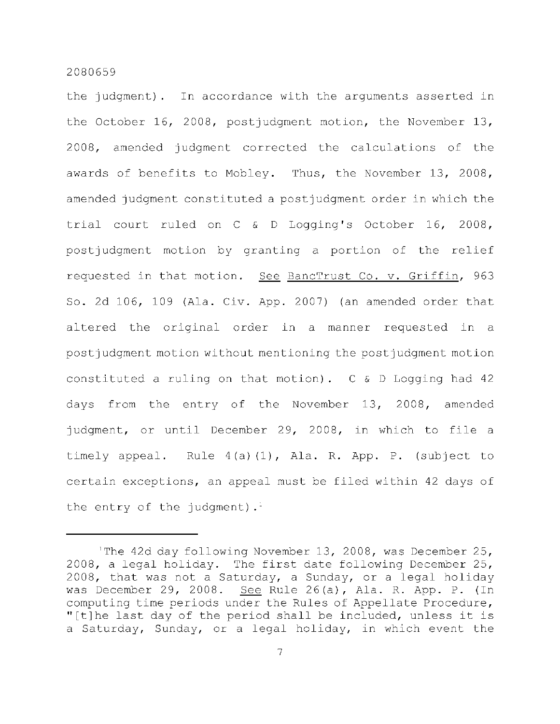the judgment). In accordance with the arguments asserted in the October 16, 2008, postjudgment motion, the November 13, 2008, amended judgment corrected the calculations of the awards of benefits to Mobley. Thus, the November 13, 2008, amended judgment constituted a postjudgment order in which the trial court ruled on C & D Logging's October 16, 2008, postjudgment motion by granting a portion of the relief requested in that motion. See BancTrust Co. v. Griffin, 963 So. 2d 106, 109 (Ala. Civ. App. 2007) (an amended order that altered the original order in a manner requested in a postjudgment motion without mentioning the postjudgment motion constituted a ruling on that motion).  $C & D$  Logging had 42 days from the entry of the November 13, 2008, amended judgment, or until December 29, 2008, in which to file a timely appeal. Rule  $4(a)(1)$ , Ala. R. App. P. (subject to certain exceptions, an appeal must be filed within 42 days of the entry of the judgment).

The 42d day following November 13, 2008, was December 25, 2008, a legal holiday. The first date following December 25, 2008, that was not a Saturday, a Sunday, or a legal holiday was December 29, 2008. See Rule 26(a), Ala. R. App. P. (In computing time periods under the Rules of Appellate Procedure, "[t]he last day of the period shall be included, unless it is a Saturday, Sunday, or a legal holiday, in which event the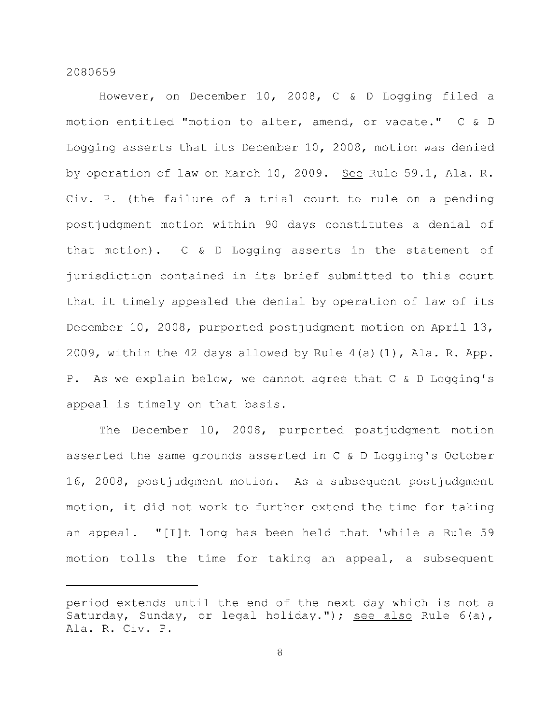However, on December 10, 2008, C & D Logging filed a motion entitled "motion to alter, amend, or vacate." C & D Logging asserts that its December 10, 2008, motion was denied by operation of law on March 10, 2009. See Rule 59.1, Ala. R. Civ. P. (the failure of a trial court to rule on a pending postjudgment motion within 90 days constitutes a denial of that motion).  $C \& D$  Logging asserts in the statement of jurisdiction contained in its brief submitted to this court that it timely appealed the denial by operation of law of its December 10, 2008, purported postjudgment motion on April 13, 2009, within the 42 days allowed by Rule  $4(a)(1)$ , Ala. R. App. P. As we explain below, we cannot agree that  $C \& D$  Logging's appeal is timely on that basis.

The December 10, 2008, purported postjudgment motion asserted the same grounds asserted in  $C$  & D Logging's October 16, 2008, postjudgment motion. As a subsequent postjudgment motion, it did not work to further extend the time for taking an appeal. "[I]t long has been held that 'while a Rule 59 motion tolls the time for taking an appeal, a subsequent

period extends until the end of the next day which is not a Saturday, Sunday, or legal holiday."); see also Rule  $6(a)$ , Ala. R. Civ. P.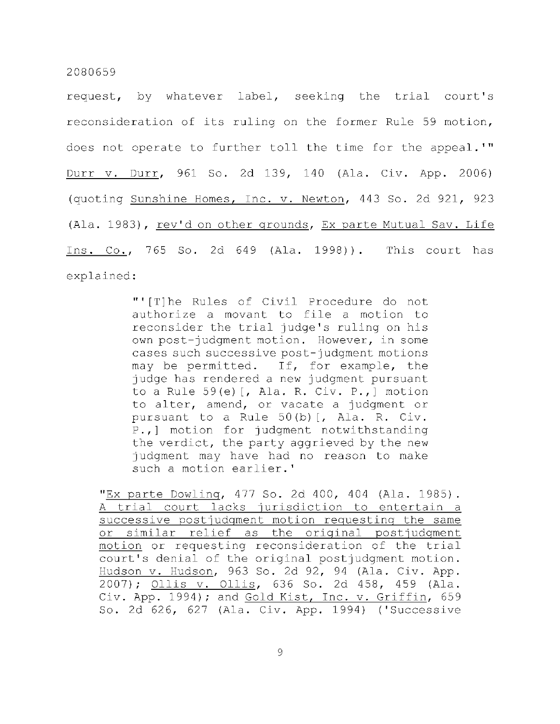request, by whatever label, seeking the trial court's reconsideration of its ruling on the former Rule 59 motion, does not operate to further toll the time for the appeal.'" Durr v. Durr, 961 So. 2d 139, 140 (Ala. Civ. App. 2006) (quoting Sunshine Homes, Inc. v. Newton, 443 So. 2d 921, 923 (Ala. 1983), rev'd on other grounds, Ex parte Mutual Sav. Life Ins. Co., 765 So. 2d 649 (Ala. 1998)). This court has explained:

> "'[T]he Rules of Civil Procedure do not authorize a movant to file a motion to reconsider the trial judge's ruling on his own post-judgment motion. However, in some cases such successive post-judgment motions may be permitted. If, for example, the judge has rendered a new judgment pursuant to a Rule  $59(e)$  [, Ala. R. Civ. P., ] motion to alter, amend, or vacate a judgment or pursuant to a Rule  $50(b)$  [, Ala. R. Civ. P., ] motion for judgment notwithstanding the verdict, the party aggrieved by the new judgment may have had no reason to make such a motion earlier.'

"Ex parte Dowling, 477 So. 2d 400, 404 (Ala. 1985). A trial court lacks jurisdiction to entertain a successive postjudgment motion requesting the same or similar relief as the original postjudgment motion or requesting reconsideration of the trial court's denial of the original postjudgment motion. Hudson v. Hudson, 963 So. 2d 92, 94 (Ala. Civ. App. 2007); <u>Ollis v. Ollis</u>, 636 So. 2d 458, 459 (Ala. Civ. App. 1994); and Gold Kist, Inc. v. Griffin, 659 So. 2d 626, 627 (Ala. Civ. App. 1994) ('Successive